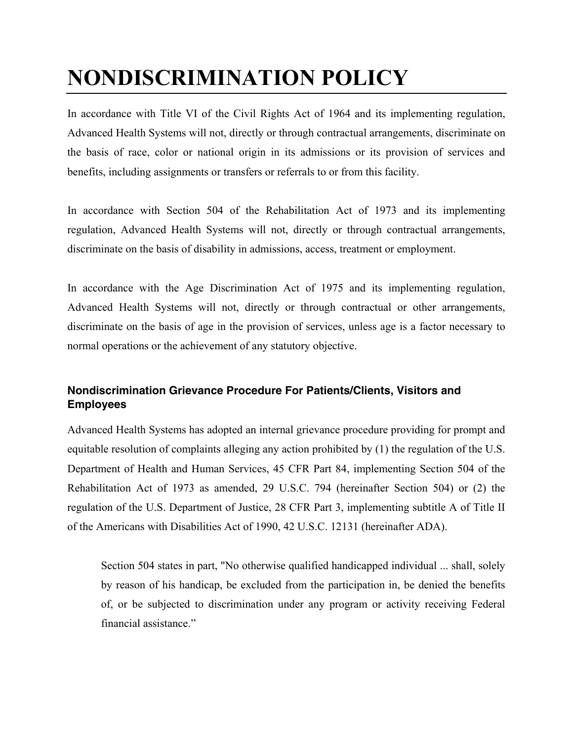## **NONDISCRIMINATION POLICY**

In accordance with Title VI of the Civil Rights Act of 1964 and its implementing regulation, Advanced Health Systems will not, directly or through contractual arrangements, discriminate on the basis of race, color or national origin in its admissions or its provision of services and benefits, including assignments or transfers or referrals to or from this facility.

In accordance with Section 504 of the Rehabilitation Act of 1973 and its implementing regulation, Advanced Health Systems will not, directly or through contractual arrangements, discriminate on the basis of disability in admissions, access, treatment or employment.

In accordance with the Age Discrimination Act of 1975 and its implementing regulation, Advanced Health Systems will not, directly or through contractual or other arrangements, discriminate on the basis of age in the provision of services, unless age is a factor necessary to normal operations or the achievement of any statutory objective.

## **Nondiscrimination Grievance Procedure For Patients/Clients, Visitors and Employees**

Advanced Health Systems has adopted an internal grievance procedure providing for prompt and equitable resolution of complaints alleging any action prohibited by (1) the regulation of the U.S. Department of Health and Human Services, 45 CFR Part 84, implementing Section 504 of the Rehabilitation Act of 1973 as amended, 29 U.S.C. 794 (hereinafter Section 504) or (2) the regulation of the U.S. Department of Justice, 28 CFR Part 3, implementing subtitle A of Title II of the Americans with Disabilities Act of 1990, 42 U.S.C. 12131 (hereinafter ADA).

Section 504 states in part, "No otherwise qualified handicapped individual ... shall, solely by reason of his handicap, be excluded from the participation in, be denied the benefits of, or be subjected to discrimination under any program or activity receiving Federal financial assistance."